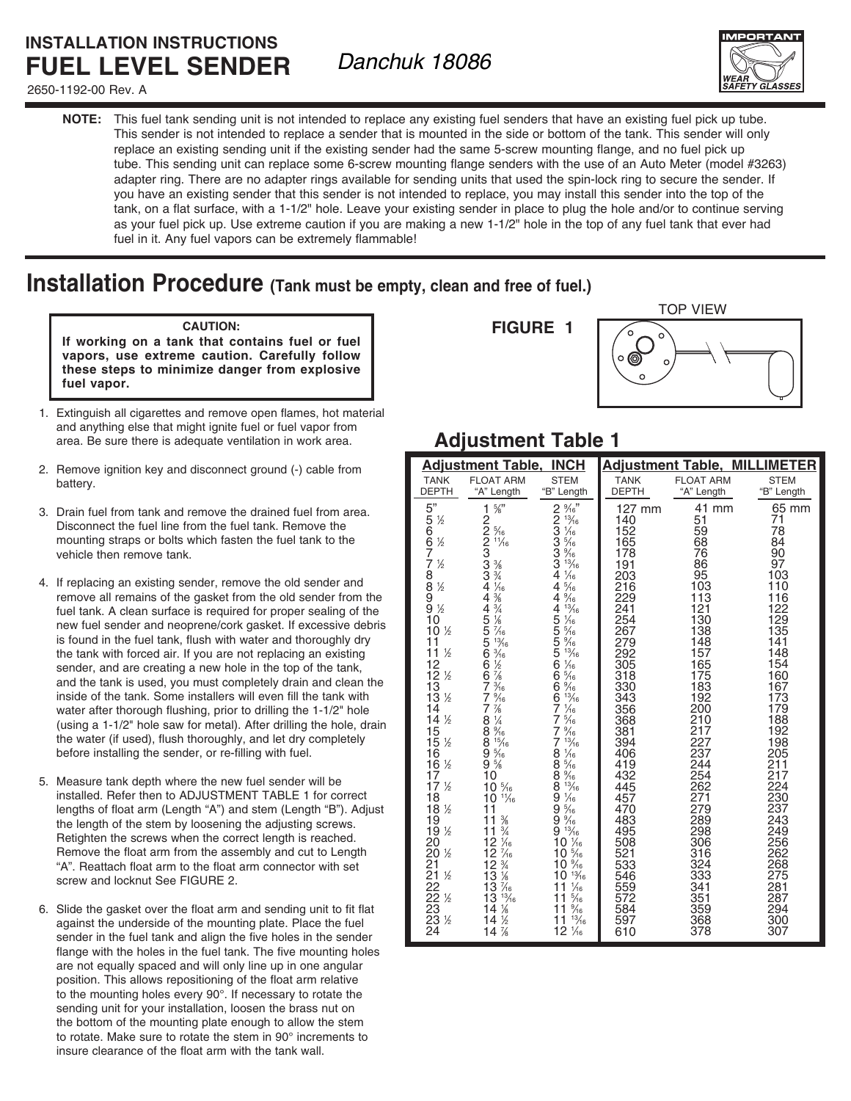## **INSTALLATION INSTRUCTIONS FUEL LEVEL SENDER**

2650-1192-00 Rev. A

*Danchuk 18086*



**NOTE:** This fuel tank sending unit is not intended to replace any existing fuel senders that have an existing fuel pick up tube. This sender is not intended to replace a sender that is mounted in the side or bottom of the tank. This sender will only replace an existing sending unit if the existing sender had the same 5-screw mounting flange, and no fuel pick up tube. This sending unit can replace some 6-screw mounting flange senders with the use of an Auto Meter (model #3263) adapter ring. There are no adapter rings available for sending units that used the spin-lock ring to secure the sender. If you have an existing sender that this sender is not intended to replace, you may install this sender into the top of the tank, on a flat surface, with a 1-1/2" hole. Leave your existing sender in place to plug the hole and/or to continue serving as your fuel pick up. Use extreme caution if you are making a new 1-1/2" hole in the top of any fuel tank that ever had fuel in it. Any fuel vapors can be extremely flammable!

# **Installation Procedure (Tank must be empty, clean and free of fuel.)**

#### **CAUTION:**

**If working on a tank that contains fuel or fuel vapors, use extreme caution. Carefully follow these steps to minimize danger from explosive fuel vapor.**

- 1. Extinguish all cigarettes and remove open flames, hot material and anything else that might ignite fuel or fuel vapor from area. Be sure there is adequate ventilation in work area.
- 2. Remove ignition key and disconnect ground (-) cable from battery.
- 3. Drain fuel from tank and remove the drained fuel from area. Disconnect the fuel line from the fuel tank. Remove the mounting straps or bolts which fasten the fuel tank to the vehicle then remove tank.
- 4. If replacing an existing sender, remove the old sender and remove all remains of the gasket from the old sender from the fuel tank. A clean surface is required for proper sealing of the new fuel sender and neoprene/cork gasket. If excessive debris is found in the fuel tank, flush with water and thoroughly dry the tank with forced air. If you are not replacing an existing sender, and are creating a new hole in the top of the tank, and the tank is used, you must completely drain and clean the inside of the tank. Some installers will even fill the tank with water after thorough flushing, prior to drilling the 1-1/2" hole (using a 1-1/2" hole saw for metal). After drilling the hole, drain the water (if used), flush thoroughly, and let dry completely before installing the sender, or re-filling with fuel.
- 5. Measure tank depth where the new fuel sender will be installed. Refer then to ADJUSTMENT TABLE 1 for correct lengths of float arm (Length "A") and stem (Length "B"). Adjust the length of the stem by loosening the adjusting screws. Retighten the screws when the correct length is reached. Remove the float arm from the assembly and cut to Length "A". Reattach float arm to the float arm connector with set screw and locknut See FIGURE 2.
- 6. Slide the gasket over the float arm and sending unit to fit flat against the underside of the mounting plate. Place the fuel sender in the fuel tank and align the five holes in the sender flange with the holes in the fuel tank. The five mounting holes are not equally spaced and will only line up in one angular position. This allows repositioning of the float arm relative to the mounting holes every 90°. If necessary to rotate the sending unit for your installation, loosen the brass nut on the bottom of the mounting plate enough to allow the stem to rotate. Make sure to rotate the stem in 90° increments to insure clearance of the float arm with the tank wall.

### **FIGURE 1**



## **Adjustment Table 1**

| <b>Adjustment Table, INCH</b>                     |                                                                  |                                                    | <b>Adjustment Table, MILLIMETER</b> |                  |             |
|---------------------------------------------------|------------------------------------------------------------------|----------------------------------------------------|-------------------------------------|------------------|-------------|
| <b>TANK</b>                                       | <b>FLOAT ARM</b>                                                 | <b>STEM</b>                                        | <b>TANK</b>                         | <b>FLOAT ARM</b> | <b>STEM</b> |
| <b>DEPTH</b>                                      | "A" Length                                                       | "B" Length                                         | <b>DEPTH</b>                        | "A" Length       | "B" Length  |
| 5"                                                | $\frac{5}{8}$ "<br>1                                             | $2\frac{9}{16}$ "                                  | 127 mm                              | 41 mm<br>51      | 65 mm<br>71 |
|                                                   |                                                                  | 2<br>3<br>3<br>$\frac{13}{16}$<br>1/16             | 140<br>152                          | 59               | 78          |
| $\frac{5}{6}$ %                                   |                                                                  | $\frac{5}{16}$                                     | 165                                 | 68               | 84          |
| $\frac{7}{7}$ %                                   |                                                                  | $\frac{3}{3}$<br>$\frac{9}{16}$<br>$\frac{13}{16}$ | 178<br>191                          | 76<br>86         | 90<br>97    |
|                                                   | 122233344                                                        | 4<br>$\frac{1}{16}$                                | 203                                 | 95               | 103         |
| $\frac{8}{9}$<br>99%                              | $\frac{3}{4}$<br>$\frac{1}{4}$<br>$\frac{3}{8}$<br>$\frac{3}{4}$ | $\frac{5}{16}$<br>4                                | 216                                 | 103              | 110         |
|                                                   | $\overline{4}$                                                   | $\frac{9}{16}$<br>4<br>13/16<br>4                  | 229<br>241                          | 113<br>121       | 116<br>122  |
| 10                                                | $\frac{1}{8}$<br>$\frac{7}{10}$                                  | $\frac{1}{16}$                                     | 254                                 | 130              | 129         |
| 10 <sup>1</sup> / <sub>2</sub><br>11              | 45556<br>$\frac{13}{16}$                                         | 5555<br>$\frac{5}{16}$<br>$\frac{9}{16}$           | 267<br>279                          | 138<br>148       | 135<br>141  |
| 11 <sup>1</sup>                                   | $\frac{3}{16}$<br>$\frac{1}{2}$                                  | $^{13}$ / <sub>16</sub>                            | 292                                 | 157              | 148         |
|                                                   | $\check{6}$<br>$\overline{6}$                                    | 6<br>$\frac{1}{16}$<br>$\overline{6}$              | 305                                 | 165<br>175       | 154<br>160  |
| $\frac{12}{12}$ %<br>$\frac{12}{13}$ %            | $\frac{7}{8}$<br>$\frac{3}{16}$<br>Ž.                            | $\frac{5}{16}$<br>$6\frac{9}{16}$                  | 318<br>330                          | 183              | 167         |
|                                                   | $\frac{9}{16}$<br>7                                              | $\frac{13}{16}$<br>6                               | 343                                 | 192              | 173         |
| $\frac{14}{14}$ %                                 | $\frac{7}{6}$<br>$\frac{1}{4}$<br>7<br>8                         | 7<br>$\frac{1}{16}$<br>$\frac{5}{16}$<br>7         | 356<br>368                          | 200<br>210       | 179<br>188  |
| $\frac{15}{15}$                                   | $8\frac{9}{16}$                                                  | $\frac{9}{16}$<br>7                                | 381                                 | 217              | 192         |
| $\frac{1}{2}$                                     | $9\frac{15}{16}$<br>9 $\frac{5}{16}$<br>9 $\frac{5}{8}$          | $\frac{13}{16}$<br>7<br>$\frac{1}{16}$             | 394<br>406                          | 227<br>237       | 198<br>205  |
| $\frac{16}{16}$ %                                 |                                                                  | 8<br>$8\frac{5}{16}$                               | 419                                 | 244              | 211         |
| 17                                                | 10                                                               | $\frac{9}{16}$<br>8                                | 432                                 | 254              | 217<br>224  |
| 17 <sup>1</sup>                                   | $10\frac{5}{16}$<br>$10^{11}/6$                                  | 8<br>$\frac{13}{16}$<br>ğ,<br>$\frac{1}{16}$       | 445<br>457                          | 262<br>271       | 230         |
| $\frac{18}{18}$ %                                 | 11                                                               | 9<br>$\frac{5}{16}$                                | 470                                 | 279              | 237         |
| $\frac{19}{19}$ %                                 | $\frac{3}{8}$<br>$\frac{3}{4}$<br>11<br>11                       | $9\frac{9}{13/16}$                                 | 483<br>495                          | 289<br>298       | 243<br>249  |
| 20                                                | $12\frac{1}{6}$                                                  | $10\frac{1}{16}$                                   | 508                                 | 306              | 256         |
| $\frac{1}{2}$                                     | $\frac{7}{16}$                                                   | $10\frac{5}{16}$                                   | 521<br>533                          | 316              | 262         |
| $\frac{1}{2}$                                     | $\frac{12}{12}$ $\frac{7}{4}$<br>$\frac{12}{13}$ $\frac{16}{8}$  | 10 %<br>$10^{13}$                                  | 546                                 | 324<br>333       | 268<br>275  |
|                                                   | $1\bar{3}$<br>$\frac{7}{16}$                                     | $\frac{1}{16}$<br>11                               | 559                                 | 341              | 281         |
| $\frac{1}{2}$                                     | $\frac{13}{16}$<br>13<br>$\frac{1}{8}$<br>14                     | $\frac{5}{16}$<br>11<br>$11\%$                     | 572<br>584                          | 351<br>359       | 287<br>294  |
| 20<br>21<br>22<br>22<br>23<br>23<br>$\frac{1}{2}$ | 14%                                                              | $\frac{13}{16}$<br>11                              | 597                                 | 368              | 300         |
| 24                                                | 14%                                                              | $12\frac{1}{16}$                                   | 610                                 | 378              | 307         |